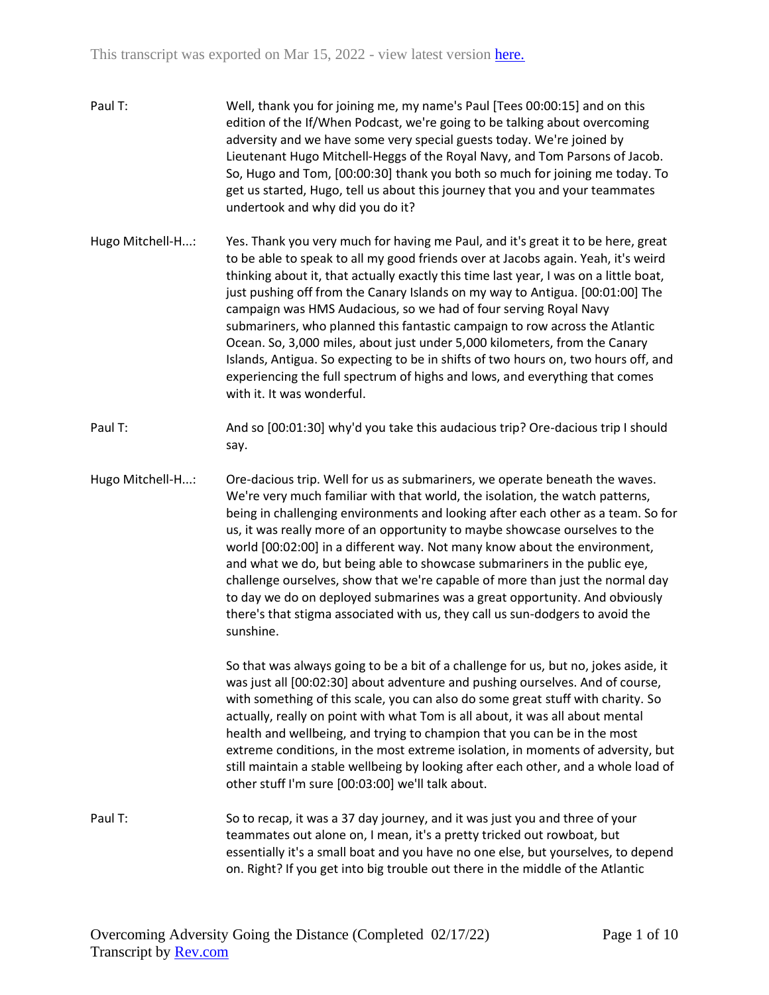| Paul T:          | Well, thank you for joining me, my name's Paul [Tees 00:00:15] and on this<br>edition of the If/When Podcast, we're going to be talking about overcoming<br>adversity and we have some very special guests today. We're joined by<br>Lieutenant Hugo Mitchell-Heggs of the Royal Navy, and Tom Parsons of Jacob.<br>So, Hugo and Tom, [00:00:30] thank you both so much for joining me today. To<br>get us started, Hugo, tell us about this journey that you and your teammates<br>undertook and why did you do it? |
|------------------|----------------------------------------------------------------------------------------------------------------------------------------------------------------------------------------------------------------------------------------------------------------------------------------------------------------------------------------------------------------------------------------------------------------------------------------------------------------------------------------------------------------------|
| Hugo Mitchell-H: | Yes. Thank you very much for having me Paul, and it's great it to be here, great<br>to be able to speak to all my good friends over at Jacobs again. Yeah, it's weird<br>thinking about it, that actually exactly this time last year, I was on a little boat,<br>just pushing off from the Canary Islands on my way to Antigua. [00:01:00] The<br>campaign was HMS Audasiaus, so we had of four serving Poval Naw                                                                                                   |

campaign was HMS Audacious, so we had of four serving Royal Navy submariners, who planned this fantastic campaign to row across the Atlantic Ocean. So, 3,000 miles, about just under 5,000 kilometers, from the Canary Islands, Antigua. So expecting to be in shifts of two hours on, two hours off, and experiencing the full spectrum of highs and lows, and everything that comes with it. It was wonderful.

- Paul T: And so [00:01:30] why'd you take this audacious trip? Ore-dacious trip I should say.
- Hugo Mitchell-H...: Ore-dacious trip. Well for us as submariners, we operate beneath the waves. We're very much familiar with that world, the isolation, the watch patterns, being in challenging environments and looking after each other as a team. So for us, it was really more of an opportunity to maybe showcase ourselves to the world [00:02:00] in a different way. Not many know about the environment, and what we do, but being able to showcase submariners in the public eye, challenge ourselves, show that we're capable of more than just the normal day to day we do on deployed submarines was a great opportunity. And obviously there's that stigma associated with us, they call us sun-dodgers to avoid the sunshine.

So that was always going to be a bit of a challenge for us, but no, jokes aside, it was just all [00:02:30] about adventure and pushing ourselves. And of course, with something of this scale, you can also do some great stuff with charity. So actually, really on point with what Tom is all about, it was all about mental health and wellbeing, and trying to champion that you can be in the most extreme conditions, in the most extreme isolation, in moments of adversity, but still maintain a stable wellbeing by looking after each other, and a whole load of other stuff I'm sure [00:03:00] we'll talk about.

Paul T: So to recap, it was a 37 day journey, and it was just you and three of your teammates out alone on, I mean, it's a pretty tricked out rowboat, but essentially it's a small boat and you have no one else, but yourselves, to depend on. Right? If you get into big trouble out there in the middle of the Atlantic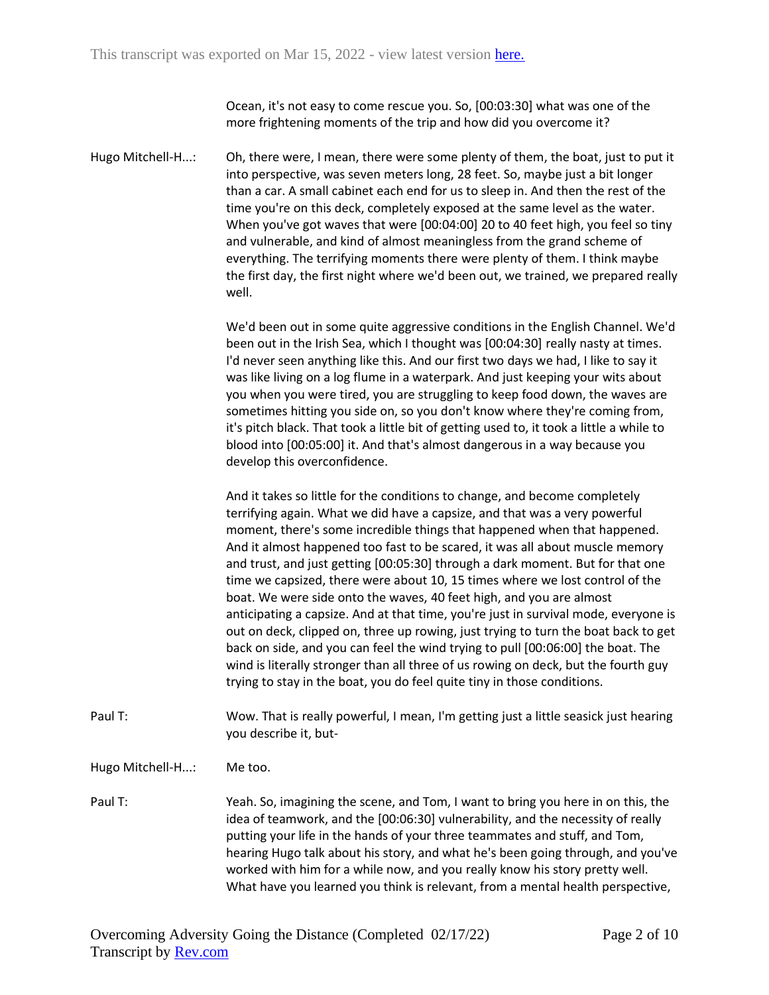Ocean, it's not easy to come rescue you. So, [00:03:30] what was one of the more frightening moments of the trip and how did you overcome it?

Hugo Mitchell-H...: Oh, there were, I mean, there were some plenty of them, the boat, just to put it into perspective, was seven meters long, 28 feet. So, maybe just a bit longer than a car. A small cabinet each end for us to sleep in. And then the rest of the time you're on this deck, completely exposed at the same level as the water. When you've got waves that were [00:04:00] 20 to 40 feet high, you feel so tiny and vulnerable, and kind of almost meaningless from the grand scheme of everything. The terrifying moments there were plenty of them. I think maybe the first day, the first night where we'd been out, we trained, we prepared really well.

> We'd been out in some quite aggressive conditions in the English Channel. We'd been out in the Irish Sea, which I thought was [00:04:30] really nasty at times. I'd never seen anything like this. And our first two days we had, I like to say it was like living on a log flume in a waterpark. And just keeping your wits about you when you were tired, you are struggling to keep food down, the waves are sometimes hitting you side on, so you don't know where they're coming from, it's pitch black. That took a little bit of getting used to, it took a little a while to blood into [00:05:00] it. And that's almost dangerous in a way because you develop this overconfidence.

> And it takes so little for the conditions to change, and become completely terrifying again. What we did have a capsize, and that was a very powerful moment, there's some incredible things that happened when that happened. And it almost happened too fast to be scared, it was all about muscle memory and trust, and just getting [00:05:30] through a dark moment. But for that one time we capsized, there were about 10, 15 times where we lost control of the boat. We were side onto the waves, 40 feet high, and you are almost anticipating a capsize. And at that time, you're just in survival mode, everyone is out on deck, clipped on, three up rowing, just trying to turn the boat back to get back on side, and you can feel the wind trying to pull [00:06:00] the boat. The wind is literally stronger than all three of us rowing on deck, but the fourth guy trying to stay in the boat, you do feel quite tiny in those conditions.

Paul T: Wow. That is really powerful, I mean, I'm getting just a little seasick just hearing you describe it, but-

Hugo Mitchell-H...: Me too.

Paul T: Yeah. So, imagining the scene, and Tom, I want to bring you here in on this, the idea of teamwork, and the [00:06:30] vulnerability, and the necessity of really putting your life in the hands of your three teammates and stuff, and Tom, hearing Hugo talk about his story, and what he's been going through, and you've worked with him for a while now, and you really know his story pretty well. What have you learned you think is relevant, from a mental health perspective,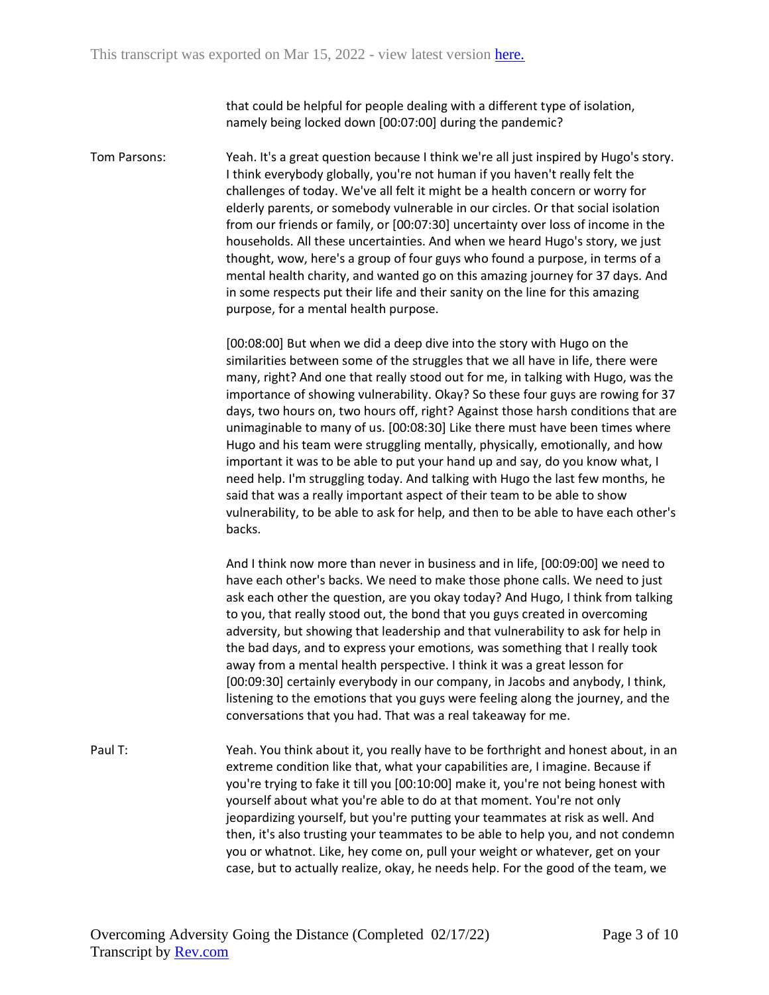that could be helpful for people dealing with a different type of isolation, namely being locked down [00:07:00] during the pandemic?

Tom Parsons: Yeah. It's a great question because I think we're all just inspired by Hugo's story. I think everybody globally, you're not human if you haven't really felt the challenges of today. We've all felt it might be a health concern or worry for elderly parents, or somebody vulnerable in our circles. Or that social isolation from our friends or family, or [00:07:30] uncertainty over loss of income in the households. All these uncertainties. And when we heard Hugo's story, we just thought, wow, here's a group of four guys who found a purpose, in terms of a mental health charity, and wanted go on this amazing journey for 37 days. And in some respects put their life and their sanity on the line for this amazing purpose, for a mental health purpose.

> [00:08:00] But when we did a deep dive into the story with Hugo on the similarities between some of the struggles that we all have in life, there were many, right? And one that really stood out for me, in talking with Hugo, was the importance of showing vulnerability. Okay? So these four guys are rowing for 37 days, two hours on, two hours off, right? Against those harsh conditions that are unimaginable to many of us. [00:08:30] Like there must have been times where Hugo and his team were struggling mentally, physically, emotionally, and how important it was to be able to put your hand up and say, do you know what, I need help. I'm struggling today. And talking with Hugo the last few months, he said that was a really important aspect of their team to be able to show vulnerability, to be able to ask for help, and then to be able to have each other's backs.

> And I think now more than never in business and in life, [00:09:00] we need to have each other's backs. We need to make those phone calls. We need to just ask each other the question, are you okay today? And Hugo, I think from talking to you, that really stood out, the bond that you guys created in overcoming adversity, but showing that leadership and that vulnerability to ask for help in the bad days, and to express your emotions, was something that I really took away from a mental health perspective. I think it was a great lesson for [00:09:30] certainly everybody in our company, in Jacobs and anybody, I think, listening to the emotions that you guys were feeling along the journey, and the conversations that you had. That was a real takeaway for me.

Paul T: Yeah. You think about it, you really have to be forthright and honest about, in an extreme condition like that, what your capabilities are, I imagine. Because if you're trying to fake it till you [00:10:00] make it, you're not being honest with yourself about what you're able to do at that moment. You're not only jeopardizing yourself, but you're putting your teammates at risk as well. And then, it's also trusting your teammates to be able to help you, and not condemn you or whatnot. Like, hey come on, pull your weight or whatever, get on your case, but to actually realize, okay, he needs help. For the good of the team, we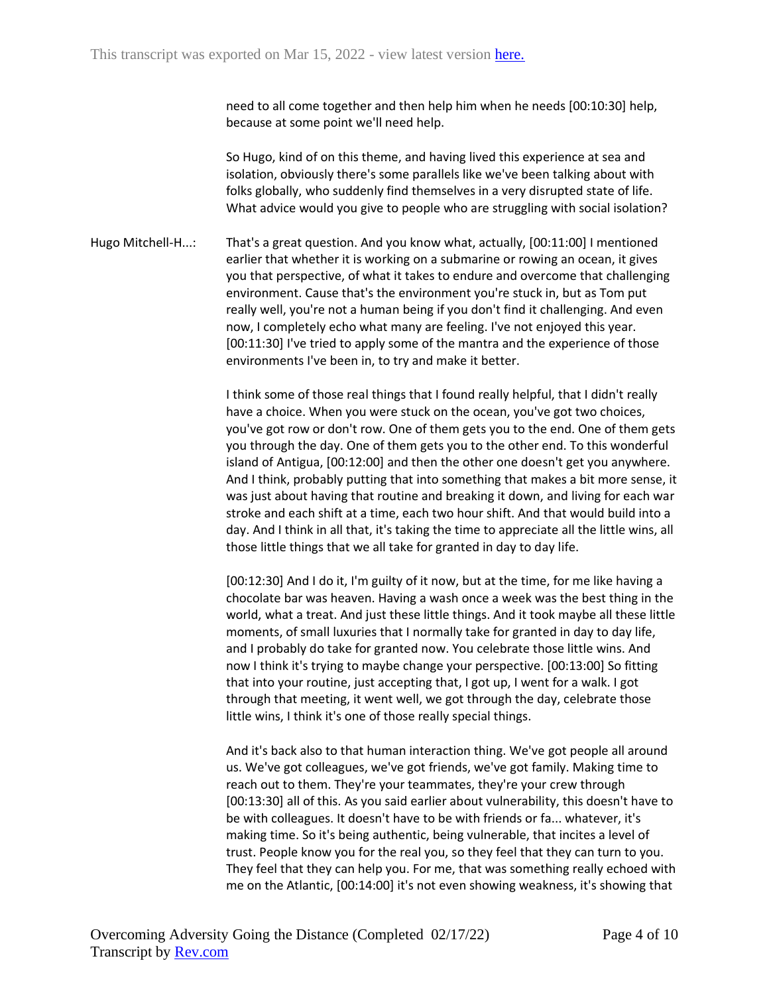need to all come together and then help him when he needs [00:10:30] help, because at some point we'll need help.

So Hugo, kind of on this theme, and having lived this experience at sea and isolation, obviously there's some parallels like we've been talking about with folks globally, who suddenly find themselves in a very disrupted state of life. What advice would you give to people who are struggling with social isolation?

Hugo Mitchell-H...: That's a great question. And you know what, actually, [00:11:00] I mentioned earlier that whether it is working on a submarine or rowing an ocean, it gives you that perspective, of what it takes to endure and overcome that challenging environment. Cause that's the environment you're stuck in, but as Tom put really well, you're not a human being if you don't find it challenging. And even now, I completely echo what many are feeling. I've not enjoyed this year. [00:11:30] I've tried to apply some of the mantra and the experience of those environments I've been in, to try and make it better.

> I think some of those real things that I found really helpful, that I didn't really have a choice. When you were stuck on the ocean, you've got two choices, you've got row or don't row. One of them gets you to the end. One of them gets you through the day. One of them gets you to the other end. To this wonderful island of Antigua, [00:12:00] and then the other one doesn't get you anywhere. And I think, probably putting that into something that makes a bit more sense, it was just about having that routine and breaking it down, and living for each war stroke and each shift at a time, each two hour shift. And that would build into a day. And I think in all that, it's taking the time to appreciate all the little wins, all those little things that we all take for granted in day to day life.

> [00:12:30] And I do it, I'm guilty of it now, but at the time, for me like having a chocolate bar was heaven. Having a wash once a week was the best thing in the world, what a treat. And just these little things. And it took maybe all these little moments, of small luxuries that I normally take for granted in day to day life, and I probably do take for granted now. You celebrate those little wins. And now I think it's trying to maybe change your perspective. [00:13:00] So fitting that into your routine, just accepting that, I got up, I went for a walk. I got through that meeting, it went well, we got through the day, celebrate those little wins, I think it's one of those really special things.

> And it's back also to that human interaction thing. We've got people all around us. We've got colleagues, we've got friends, we've got family. Making time to reach out to them. They're your teammates, they're your crew through [00:13:30] all of this. As you said earlier about vulnerability, this doesn't have to be with colleagues. It doesn't have to be with friends or fa... whatever, it's making time. So it's being authentic, being vulnerable, that incites a level of trust. People know you for the real you, so they feel that they can turn to you. They feel that they can help you. For me, that was something really echoed with me on the Atlantic, [00:14:00] it's not even showing weakness, it's showing that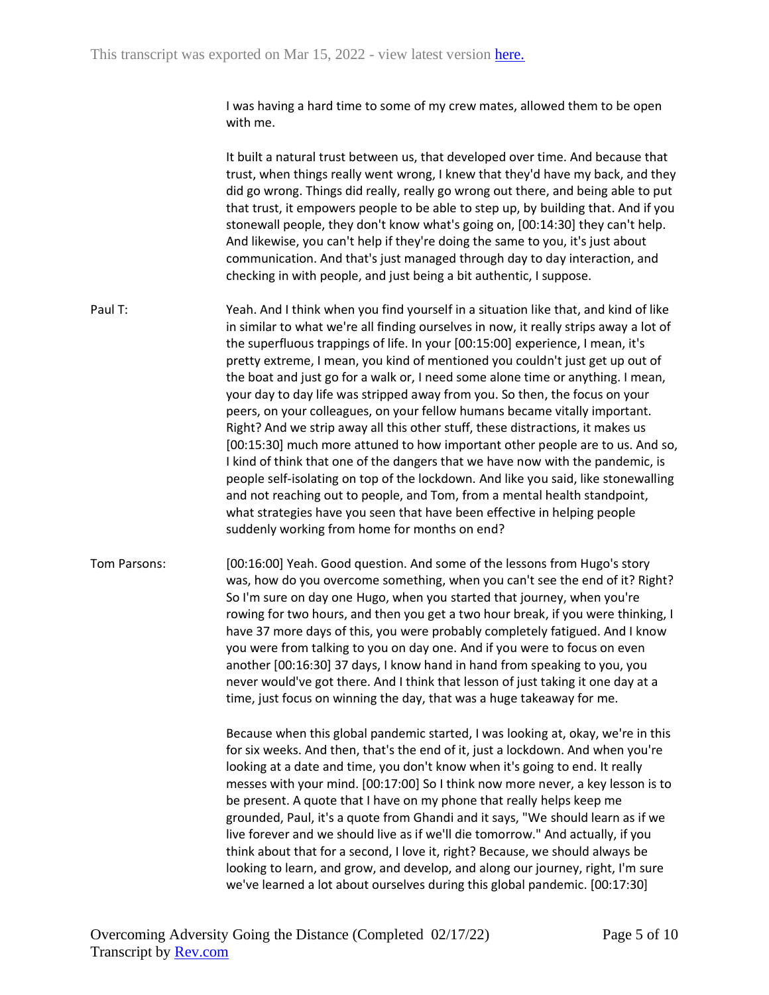I was having a hard time to some of my crew mates, allowed them to be open with me.

It built a natural trust between us, that developed over time. And because that trust, when things really went wrong, I knew that they'd have my back, and they did go wrong. Things did really, really go wrong out there, and being able to put that trust, it empowers people to be able to step up, by building that. And if you stonewall people, they don't know what's going on, [00:14:30] they can't help. And likewise, you can't help if they're doing the same to you, it's just about communication. And that's just managed through day to day interaction, and checking in with people, and just being a bit authentic, I suppose.

Paul T: Yeah. And I think when you find yourself in a situation like that, and kind of like in similar to what we're all finding ourselves in now, it really strips away a lot of the superfluous trappings of life. In your [00:15:00] experience, I mean, it's pretty extreme, I mean, you kind of mentioned you couldn't just get up out of the boat and just go for a walk or, I need some alone time or anything. I mean, your day to day life was stripped away from you. So then, the focus on your peers, on your colleagues, on your fellow humans became vitally important. Right? And we strip away all this other stuff, these distractions, it makes us [00:15:30] much more attuned to how important other people are to us. And so, I kind of think that one of the dangers that we have now with the pandemic, is people self-isolating on top of the lockdown. And like you said, like stonewalling and not reaching out to people, and Tom, from a mental health standpoint, what strategies have you seen that have been effective in helping people suddenly working from home for months on end?

Tom Parsons: [00:16:00] Yeah. Good question. And some of the lessons from Hugo's story was, how do you overcome something, when you can't see the end of it? Right? So I'm sure on day one Hugo, when you started that journey, when you're rowing for two hours, and then you get a two hour break, if you were thinking, I have 37 more days of this, you were probably completely fatigued. And I know you were from talking to you on day one. And if you were to focus on even another [00:16:30] 37 days, I know hand in hand from speaking to you, you never would've got there. And I think that lesson of just taking it one day at a time, just focus on winning the day, that was a huge takeaway for me.

> Because when this global pandemic started, I was looking at, okay, we're in this for six weeks. And then, that's the end of it, just a lockdown. And when you're looking at a date and time, you don't know when it's going to end. It really messes with your mind. [00:17:00] So I think now more never, a key lesson is to be present. A quote that I have on my phone that really helps keep me grounded, Paul, it's a quote from Ghandi and it says, "We should learn as if we live forever and we should live as if we'll die tomorrow." And actually, if you think about that for a second, I love it, right? Because, we should always be looking to learn, and grow, and develop, and along our journey, right, I'm sure we've learned a lot about ourselves during this global pandemic. [00:17:30]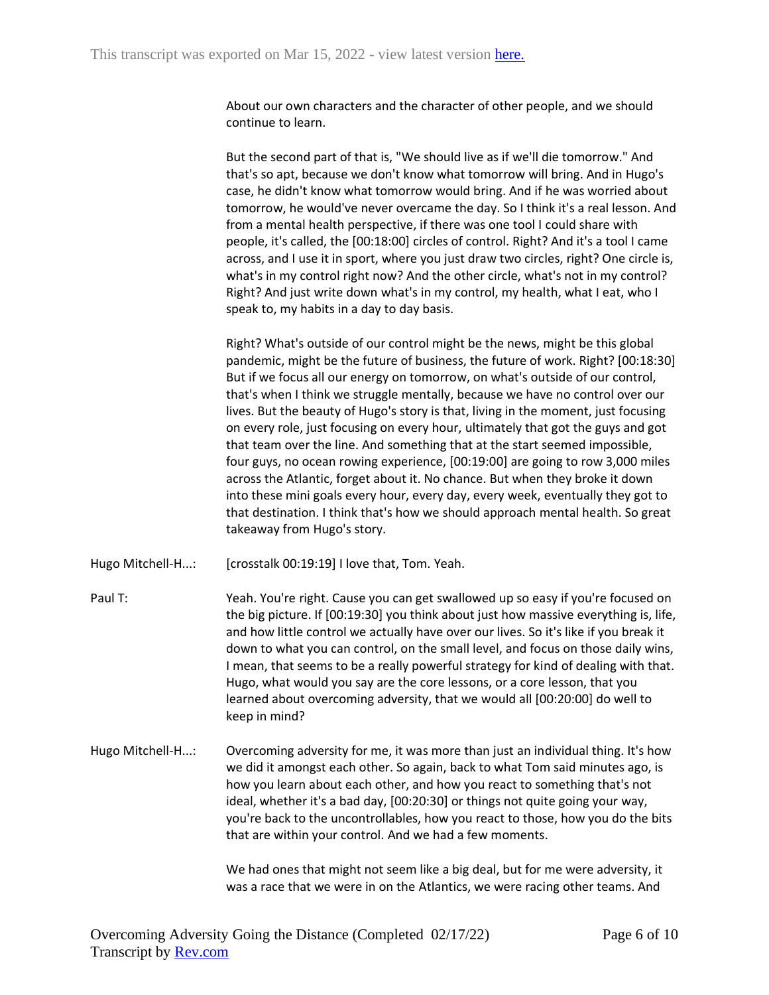About our own characters and the character of other people, and we should continue to learn.

But the second part of that is, "We should live as if we'll die tomorrow." And that's so apt, because we don't know what tomorrow will bring. And in Hugo's case, he didn't know what tomorrow would bring. And if he was worried about tomorrow, he would've never overcame the day. So I think it's a real lesson. And from a mental health perspective, if there was one tool I could share with people, it's called, the [00:18:00] circles of control. Right? And it's a tool I came across, and I use it in sport, where you just draw two circles, right? One circle is, what's in my control right now? And the other circle, what's not in my control? Right? And just write down what's in my control, my health, what I eat, who I speak to, my habits in a day to day basis.

Right? What's outside of our control might be the news, might be this global pandemic, might be the future of business, the future of work. Right? [00:18:30] But if we focus all our energy on tomorrow, on what's outside of our control, that's when I think we struggle mentally, because we have no control over our lives. But the beauty of Hugo's story is that, living in the moment, just focusing on every role, just focusing on every hour, ultimately that got the guys and got that team over the line. And something that at the start seemed impossible, four guys, no ocean rowing experience, [00:19:00] are going to row 3,000 miles across the Atlantic, forget about it. No chance. But when they broke it down into these mini goals every hour, every day, every week, eventually they got to that destination. I think that's how we should approach mental health. So great takeaway from Hugo's story.

- Hugo Mitchell-H...: [crosstalk 00:19:19] I love that, Tom. Yeah.
- Paul T: Yeah. You're right. Cause you can get swallowed up so easy if you're focused on the big picture. If [00:19:30] you think about just how massive everything is, life, and how little control we actually have over our lives. So it's like if you break it down to what you can control, on the small level, and focus on those daily wins, I mean, that seems to be a really powerful strategy for kind of dealing with that. Hugo, what would you say are the core lessons, or a core lesson, that you learned about overcoming adversity, that we would all [00:20:00] do well to keep in mind?
- Hugo Mitchell-H...: Overcoming adversity for me, it was more than just an individual thing. It's how we did it amongst each other. So again, back to what Tom said minutes ago, is how you learn about each other, and how you react to something that's not ideal, whether it's a bad day, [00:20:30] or things not quite going your way, you're back to the uncontrollables, how you react to those, how you do the bits that are within your control. And we had a few moments.

We had ones that might not seem like a big deal, but for me were adversity, it was a race that we were in on the Atlantics, we were racing other teams. And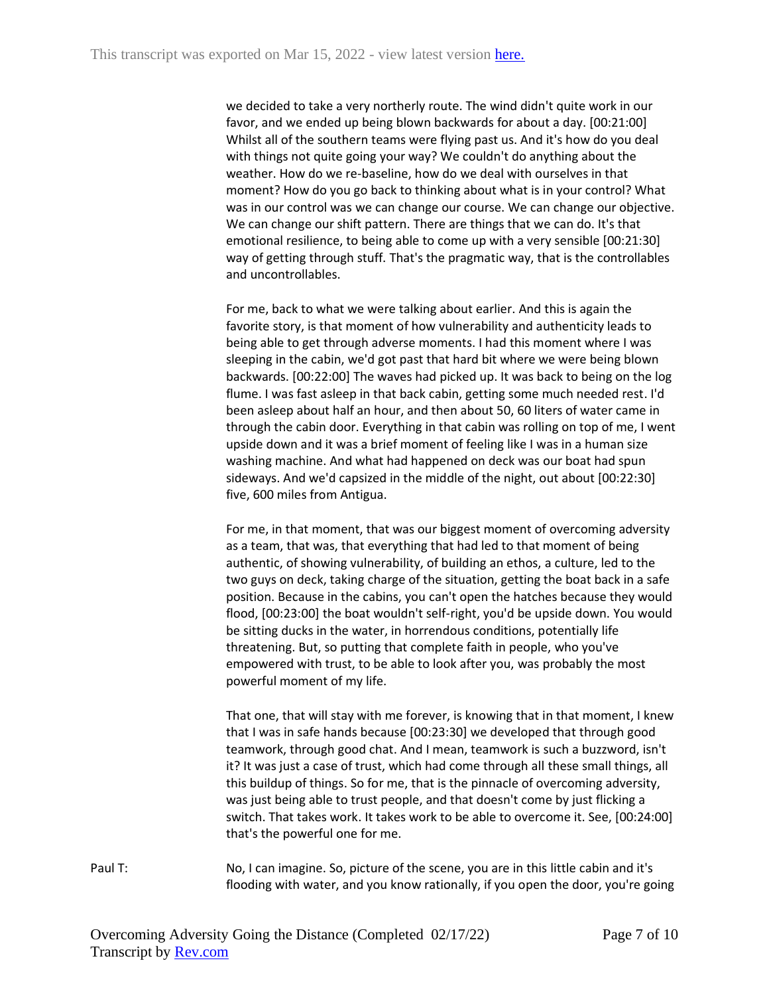we decided to take a very northerly route. The wind didn't quite work in our favor, and we ended up being blown backwards for about a day. [00:21:00] Whilst all of the southern teams were flying past us. And it's how do you deal with things not quite going your way? We couldn't do anything about the weather. How do we re-baseline, how do we deal with ourselves in that moment? How do you go back to thinking about what is in your control? What was in our control was we can change our course. We can change our objective. We can change our shift pattern. There are things that we can do. It's that emotional resilience, to being able to come up with a very sensible [00:21:30] way of getting through stuff. That's the pragmatic way, that is the controllables and uncontrollables.

For me, back to what we were talking about earlier. And this is again the favorite story, is that moment of how vulnerability and authenticity leads to being able to get through adverse moments. I had this moment where I was sleeping in the cabin, we'd got past that hard bit where we were being blown backwards. [00:22:00] The waves had picked up. It was back to being on the log flume. I was fast asleep in that back cabin, getting some much needed rest. I'd been asleep about half an hour, and then about 50, 60 liters of water came in through the cabin door. Everything in that cabin was rolling on top of me, I went upside down and it was a brief moment of feeling like I was in a human size washing machine. And what had happened on deck was our boat had spun sideways. And we'd capsized in the middle of the night, out about [00:22:30] five, 600 miles from Antigua.

For me, in that moment, that was our biggest moment of overcoming adversity as a team, that was, that everything that had led to that moment of being authentic, of showing vulnerability, of building an ethos, a culture, led to the two guys on deck, taking charge of the situation, getting the boat back in a safe position. Because in the cabins, you can't open the hatches because they would flood, [00:23:00] the boat wouldn't self-right, you'd be upside down. You would be sitting ducks in the water, in horrendous conditions, potentially life threatening. But, so putting that complete faith in people, who you've empowered with trust, to be able to look after you, was probably the most powerful moment of my life.

That one, that will stay with me forever, is knowing that in that moment, I knew that I was in safe hands because [00:23:30] we developed that through good teamwork, through good chat. And I mean, teamwork is such a buzzword, isn't it? It was just a case of trust, which had come through all these small things, all this buildup of things. So for me, that is the pinnacle of overcoming adversity, was just being able to trust people, and that doesn't come by just flicking a switch. That takes work. It takes work to be able to overcome it. See, [00:24:00] that's the powerful one for me.

Paul T: No, I can imagine. So, picture of the scene, you are in this little cabin and it's flooding with water, and you know rationally, if you open the door, you're going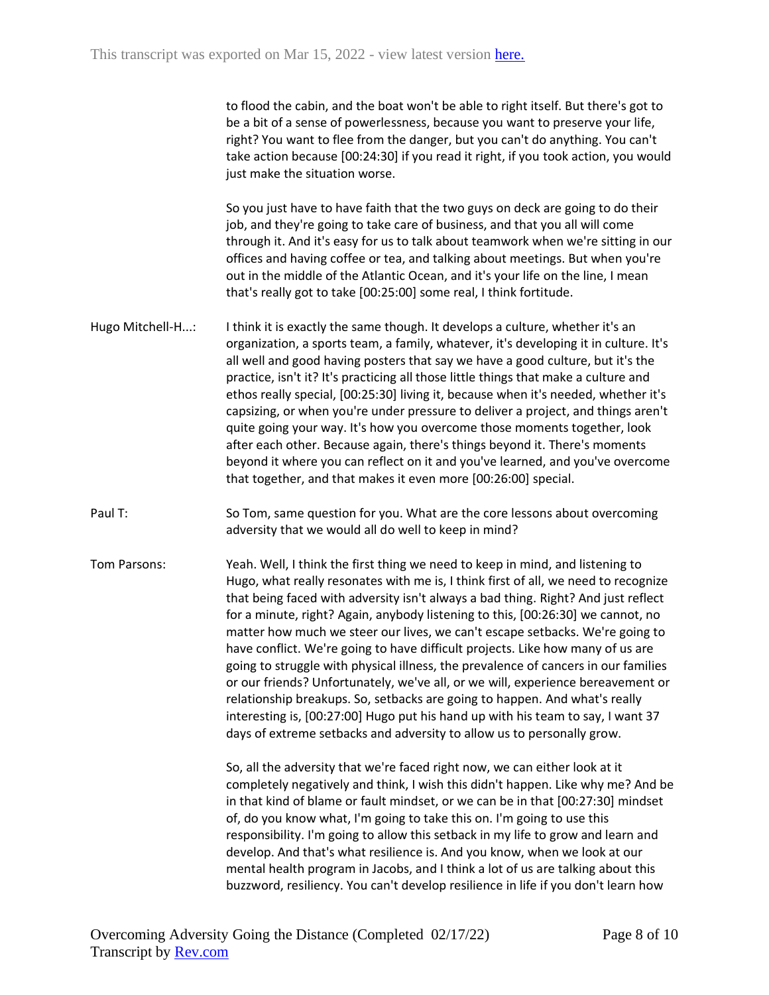to flood the cabin, and the boat won't be able to right itself. But there's got to be a bit of a sense of powerlessness, because you want to preserve your life, right? You want to flee from the danger, but you can't do anything. You can't take action because [00:24:30] if you read it right, if you took action, you would just make the situation worse.

So you just have to have faith that the two guys on deck are going to do their job, and they're going to take care of business, and that you all will come through it. And it's easy for us to talk about teamwork when we're sitting in our offices and having coffee or tea, and talking about meetings. But when you're out in the middle of the Atlantic Ocean, and it's your life on the line, I mean that's really got to take [00:25:00] some real, I think fortitude.

- Hugo Mitchell-H...: I think it is exactly the same though. It develops a culture, whether it's an organization, a sports team, a family, whatever, it's developing it in culture. It's all well and good having posters that say we have a good culture, but it's the practice, isn't it? It's practicing all those little things that make a culture and ethos really special, [00:25:30] living it, because when it's needed, whether it's capsizing, or when you're under pressure to deliver a project, and things aren't quite going your way. It's how you overcome those moments together, look after each other. Because again, there's things beyond it. There's moments beyond it where you can reflect on it and you've learned, and you've overcome that together, and that makes it even more [00:26:00] special.
- Paul T: So Tom, same question for you. What are the core lessons about overcoming adversity that we would all do well to keep in mind?
- Tom Parsons: Yeah. Well, I think the first thing we need to keep in mind, and listening to Hugo, what really resonates with me is, I think first of all, we need to recognize that being faced with adversity isn't always a bad thing. Right? And just reflect for a minute, right? Again, anybody listening to this, [00:26:30] we cannot, no matter how much we steer our lives, we can't escape setbacks. We're going to have conflict. We're going to have difficult projects. Like how many of us are going to struggle with physical illness, the prevalence of cancers in our families or our friends? Unfortunately, we've all, or we will, experience bereavement or relationship breakups. So, setbacks are going to happen. And what's really interesting is, [00:27:00] Hugo put his hand up with his team to say, I want 37 days of extreme setbacks and adversity to allow us to personally grow.

So, all the adversity that we're faced right now, we can either look at it completely negatively and think, I wish this didn't happen. Like why me? And be in that kind of blame or fault mindset, or we can be in that [00:27:30] mindset of, do you know what, I'm going to take this on. I'm going to use this responsibility. I'm going to allow this setback in my life to grow and learn and develop. And that's what resilience is. And you know, when we look at our mental health program in Jacobs, and I think a lot of us are talking about this buzzword, resiliency. You can't develop resilience in life if you don't learn how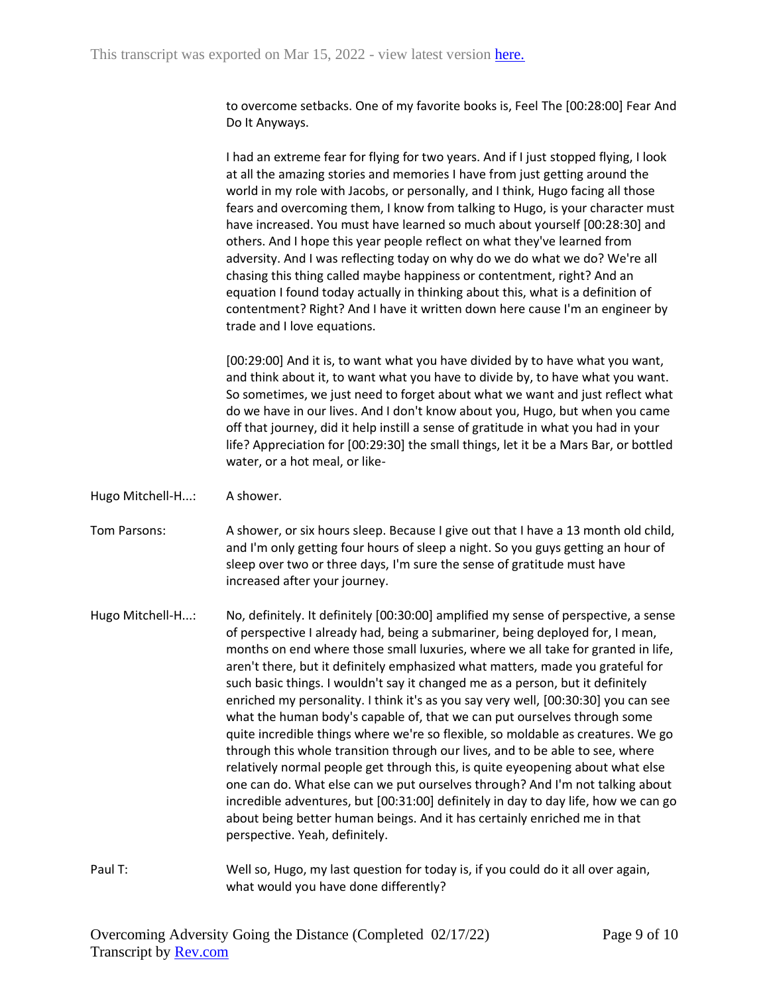to overcome setbacks. One of my favorite books is, Feel The [00:28:00] Fear And Do It Anyways.

I had an extreme fear for flying for two years. And if I just stopped flying, I look at all the amazing stories and memories I have from just getting around the world in my role with Jacobs, or personally, and I think, Hugo facing all those fears and overcoming them, I know from talking to Hugo, is your character must have increased. You must have learned so much about yourself [00:28:30] and others. And I hope this year people reflect on what they've learned from adversity. And I was reflecting today on why do we do what we do? We're all chasing this thing called maybe happiness or contentment, right? And an equation I found today actually in thinking about this, what is a definition of contentment? Right? And I have it written down here cause I'm an engineer by trade and I love equations.

[00:29:00] And it is, to want what you have divided by to have what you want, and think about it, to want what you have to divide by, to have what you want. So sometimes, we just need to forget about what we want and just reflect what do we have in our lives. And I don't know about you, Hugo, but when you came off that journey, did it help instill a sense of gratitude in what you had in your life? Appreciation for [00:29:30] the small things, let it be a Mars Bar, or bottled water, or a hot meal, or like-

- Hugo Mitchell-H...: A shower.
- Tom Parsons: A shower, or six hours sleep. Because I give out that I have a 13 month old child, and I'm only getting four hours of sleep a night. So you guys getting an hour of sleep over two or three days, I'm sure the sense of gratitude must have increased after your journey.
- Hugo Mitchell-H...: No, definitely. It definitely [00:30:00] amplified my sense of perspective, a sense of perspective I already had, being a submariner, being deployed for, I mean, months on end where those small luxuries, where we all take for granted in life, aren't there, but it definitely emphasized what matters, made you grateful for such basic things. I wouldn't say it changed me as a person, but it definitely enriched my personality. I think it's as you say very well, [00:30:30] you can see what the human body's capable of, that we can put ourselves through some quite incredible things where we're so flexible, so moldable as creatures. We go through this whole transition through our lives, and to be able to see, where relatively normal people get through this, is quite eyeopening about what else one can do. What else can we put ourselves through? And I'm not talking about incredible adventures, but [00:31:00] definitely in day to day life, how we can go about being better human beings. And it has certainly enriched me in that perspective. Yeah, definitely.
- Paul T: Well so, Hugo, my last question for today is, if you could do it all over again, what would you have done differently?